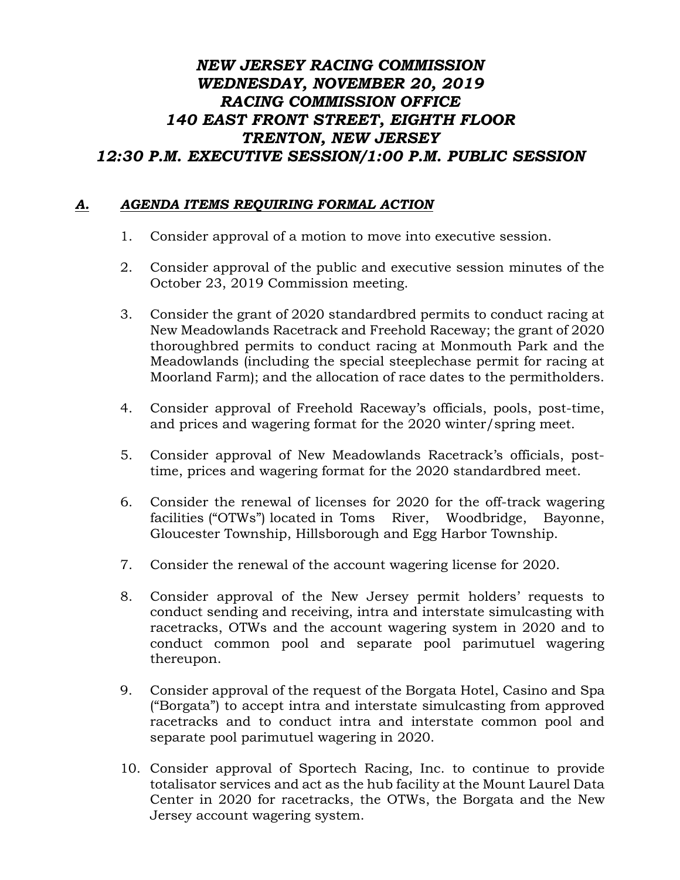## *NEW JERSEY RACING COMMISSION WEDNESDAY, NOVEMBER 20, 2019 RACING COMMISSION OFFICE 140 EAST FRONT STREET, EIGHTH FLOOR TRENTON, NEW JERSEY 12:30 P.M. EXECUTIVE SESSION/1:00 P.M. PUBLIC SESSION*

## *A. AGENDA ITEMS REQUIRING FORMAL ACTION*

- 1. Consider approval of a motion to move into executive session.
- 2. Consider approval of the public and executive session minutes of the October 23, 2019 Commission meeting.
- 3. Consider the grant of 2020 standardbred permits to conduct racing at New Meadowlands Racetrack and Freehold Raceway; the grant of 2020 thoroughbred permits to conduct racing at Monmouth Park and the Meadowlands (including the special steeplechase permit for racing at Moorland Farm); and the allocation of race dates to the permitholders.
- 4. Consider approval of Freehold Raceway's officials, pools, post-time, and prices and wagering format for the 2020 winter/spring meet.
- 5. Consider approval of New Meadowlands Racetrack's officials, posttime, prices and wagering format for the 2020 standardbred meet.
- 6. Consider the renewal of licenses for 2020 for the off-track wagering facilities ("OTWs") located in Toms River, Woodbridge, Bayonne, Gloucester Township, Hillsborough and Egg Harbor Township.
- 7. Consider the renewal of the account wagering license for 2020.
- 8. Consider approval of the New Jersey permit holders' requests to conduct sending and receiving, intra and interstate simulcasting with racetracks, OTWs and the account wagering system in 2020 and to conduct common pool and separate pool parimutuel wagering thereupon.
- 9. Consider approval of the request of the Borgata Hotel, Casino and Spa ("Borgata") to accept intra and interstate simulcasting from approved racetracks and to conduct intra and interstate common pool and separate pool parimutuel wagering in 2020.
- 10. Consider approval of Sportech Racing, Inc. to continue to provide totalisator services and act as the hub facility at the Mount Laurel Data Center in 2020 for racetracks, the OTWs, the Borgata and the New Jersey account wagering system.